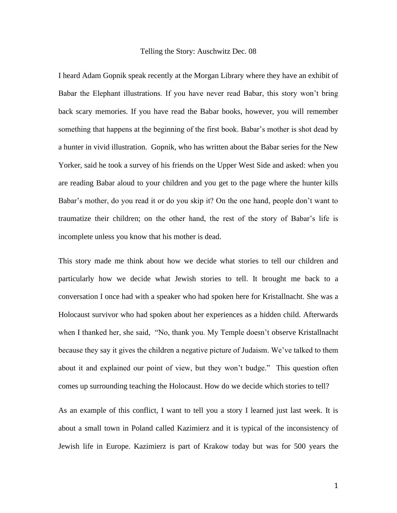## Telling the Story: Auschwitz Dec. 08

I heard Adam Gopnik speak recently at the Morgan Library where they have an exhibit of Babar the Elephant illustrations. If you have never read Babar, this story won't bring back scary memories. If you have read the Babar books, however, you will remember something that happens at the beginning of the first book. Babar's mother is shot dead by a hunter in vivid illustration. Gopnik, who has written about the Babar series for the New Yorker, said he took a survey of his friends on the Upper West Side and asked: when you are reading Babar aloud to your children and you get to the page where the hunter kills Babar's mother, do you read it or do you skip it? On the one hand, people don't want to traumatize their children; on the other hand, the rest of the story of Babar's life is incomplete unless you know that his mother is dead.

This story made me think about how we decide what stories to tell our children and particularly how we decide what Jewish stories to tell. It brought me back to a conversation I once had with a speaker who had spoken here for Kristallnacht. She was a Holocaust survivor who had spoken about her experiences as a hidden child. Afterwards when I thanked her, she said, "No, thank you. My Temple doesn't observe Kristallnacht because they say it gives the children a negative picture of Judaism. We've talked to them about it and explained our point of view, but they won't budge." This question often comes up surrounding teaching the Holocaust. How do we decide which stories to tell?

As an example of this conflict, I want to tell you a story I learned just last week. It is about a small town in Poland called Kazimierz and it is typical of the inconsistency of Jewish life in Europe. Kazimierz is part of Krakow today but was for 500 years the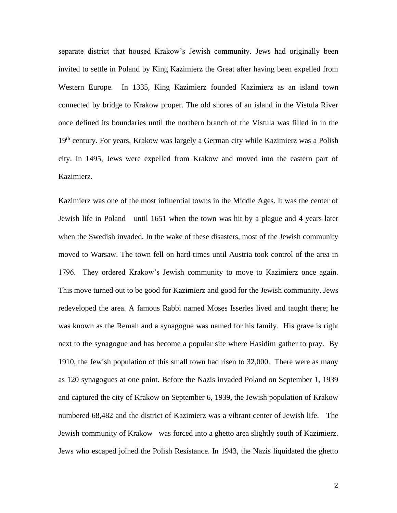separate district that housed Krakow's Jewish community. Jews had originally been invited to settle in Poland by King Kazimierz the Great after having been expelled from Western Europe. In 1335, King Kazimierz founded Kazimierz as an island town connected by bridge to Krakow proper. The old shores of an island in the Vistula River once defined its boundaries until the northern branch of the Vistula was filled in in the 19<sup>th</sup> century. For years, Krakow was largely a German city while Kazimierz was a Polish city. In 1495, Jews were expelled from Krakow and moved into the eastern part of Kazimierz.

Kazimierz was one of the most influential towns in the Middle Ages. It was the center of Jewish life in Poland until 1651 when the town was hit by a plague and 4 years later when the Swedish invaded. In the wake of these disasters, most of the Jewish community moved to Warsaw. The town fell on hard times until Austria took control of the area in 1796. They ordered Krakow's Jewish community to move to Kazimierz once again. This move turned out to be good for Kazimierz and good for the Jewish community. Jews redeveloped the area. A famous Rabbi named Moses Isserles lived and taught there; he was known as the Remah and a synagogue was named for his family. His grave is right next to the synagogue and has become a popular site where Hasidim gather to pray. By 1910, the Jewish population of this small town had risen to 32,000. There were as many as 120 synagogues at one point. Before the Nazis invaded Poland on September 1, 1939 and captured the city of Krakow on September 6, 1939, the Jewish population of Krakow numbered 68,482 and the district of Kazimierz was a vibrant center of Jewish life. The Jewish community of Krakow was forced into a ghetto area slightly south of Kazimierz. Jews who escaped joined the Polish Resistance. In 1943, the Nazis liquidated the ghetto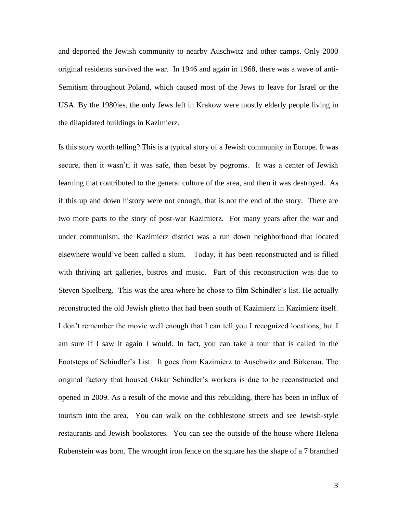and deported the Jewish community to nearby Auschwitz and other camps. Only 2000 original residents survived the war. In 1946 and again in 1968, there was a wave of anti-Semitism throughout Poland, which caused most of the Jews to leave for Israel or the USA. By the 1980ies, the only Jews left in Krakow were mostly elderly people living in the dilapidated buildings in Kazimierz.

Is this story worth telling? This is a typical story of a Jewish community in Europe. It was secure, then it wasn't; it was safe, then beset by pogroms. It was a center of Jewish learning that contributed to the general culture of the area, and then it was destroyed. As if this up and down history were not enough, that is not the end of the story. There are two more parts to the story of post-war Kazimierz. For many years after the war and under communism, the Kazimierz district was a run down neighborhood that located elsewhere would've been called a slum. Today, it has been reconstructed and is filled with thriving art galleries, bistros and music. Part of this reconstruction was due to Steven Spielberg. This was the area where he chose to film Schindler's list. He actually reconstructed the old Jewish ghetto that had been south of Kazimierz in Kazimierz itself. I don't remember the movie well enough that I can tell you I recognized locations, but I am sure if I saw it again I would. In fact, you can take a tour that is called in the Footsteps of Schindler's List. It goes from Kazimierz to Auschwitz and Birkenau. The original factory that housed Oskar Schindler's workers is due to be reconstructed and opened in 2009. As a result of the movie and this rebuilding, there has been in influx of tourism into the area. You can walk on the cobblestone streets and see Jewish-style restaurants and Jewish bookstores. You can see the outside of the house where Helena Rubenstein was born. The wrought iron fence on the square has the shape of a 7 branched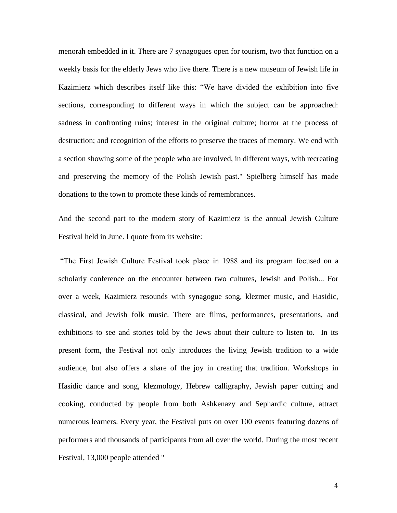menorah embedded in it. There are 7 synagogues open for tourism, two that function on a weekly basis for the elderly Jews who live there. There is a new museum of Jewish life in Kazimierz which describes itself like this: "We have divided the exhibition into five sections, corresponding to different ways in which the subject can be approached: sadness in confronting ruins; interest in the original culture; horror at the process of destruction; and recognition of the efforts to preserve the traces of memory. We end with a section showing some of the people who are involved, in different ways, with recreating and preserving the memory of the Polish Jewish past." Spielberg himself has made donations to the town to promote these kinds of remembrances.

And the second part to the modern story of Kazimierz is the annual Jewish Culture Festival held in June. I quote from its website:

"The First Jewish Culture Festival took place in 1988 and its program focused on a scholarly conference on the encounter between two cultures, Jewish and Polish... For over a week, Kazimierz resounds with synagogue song, klezmer music, and Hasidic, classical, and Jewish folk music. There are films, performances, presentations, and exhibitions to see and stories told by the Jews about their culture to listen to. In its present form, the Festival not only introduces the living Jewish tradition to a wide audience, but also offers a share of the joy in creating that tradition. Workshops in Hasidic dance and song, klezmology, Hebrew calligraphy, Jewish paper cutting and cooking, conducted by people from both Ashkenazy and Sephardic culture, attract numerous learners. Every year, the Festival puts on over 100 events featuring dozens of performers and thousands of participants from all over the world. During the most recent Festival, 13,000 people attended "

4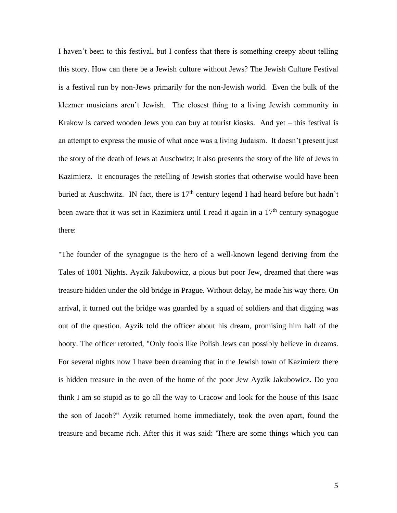I haven't been to this festival, but I confess that there is something creepy about telling this story. How can there be a Jewish culture without Jews? The Jewish Culture Festival is a festival run by non-Jews primarily for the non-Jewish world. Even the bulk of the klezmer musicians aren't Jewish. The closest thing to a living Jewish community in Krakow is carved wooden Jews you can buy at tourist kiosks. And yet – this festival is an attempt to express the music of what once was a living Judaism. It doesn't present just the story of the death of Jews at Auschwitz; it also presents the story of the life of Jews in Kazimierz. It encourages the retelling of Jewish stories that otherwise would have been buried at Auschwitz. IN fact, there is  $17<sup>th</sup>$  century legend I had heard before but hadn't been aware that it was set in Kazimierz until I read it again in a  $17<sup>th</sup>$  century synagogue there:

"The founder of the synagogue is the hero of a well-known legend deriving from the Tales of 1001 Nights. Ayzik Jakubowicz, a pious but poor Jew, dreamed that there was treasure hidden under the old bridge in Prague. Without delay, he made his way there. On arrival, it turned out the bridge was guarded by a squad of soldiers and that digging was out of the question. Ayzik told the officer about his dream, promising him half of the booty. The officer retorted, "Only fools like Polish Jews can possibly believe in dreams. For several nights now I have been dreaming that in the Jewish town of Kazimierz there is hidden treasure in the oven of the home of the poor Jew Ayzik Jakubowicz. Do you think I am so stupid as to go all the way to Cracow and look for the house of this Isaac the son of Jacob?" Ayzik returned home immediately, took the oven apart, found the treasure and became rich. After this it was said: 'There are some things which you can